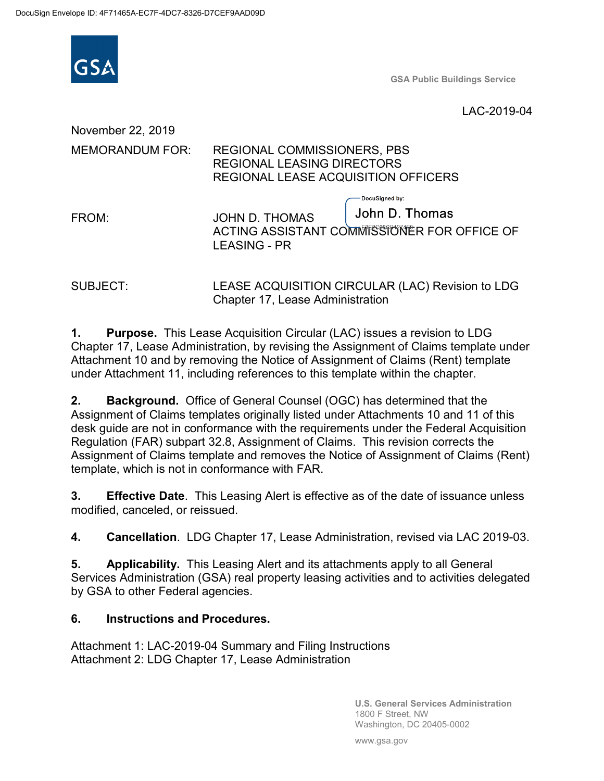

**GSA Public Buildings Service**

LAC-2019-04

November 22, 2019 MEMORANDUM FOR: REGIONAL COMMISSIONERS, PBS REGIONAL LEASING DIRECTORS REGIONAL LEASE ACQUISITION OFFICERS DocuSianed by: John D. Thomas FROM: JOHN D. THOMAS ACTING ASSISTANT COMMISSIONER FOR OFFICE OF LEASING - PR

SUBJECT: LEASE ACQUISITION CIRCULAR (LAC) Revision to LDG Chapter 17, Lease Administration

**1. Purpose.** This Lease Acquisition Circular (LAC) issues a revision to LDG Chapter 17, Lease Administration, by revising the Assignment of Claims template under Attachment 10 and by removing the Notice of Assignment of Claims (Rent) template under Attachment 11, including references to this template within the chapter.

**2. Background.** Office of General Counsel (OGC) has determined that the Assignment of Claims templates originally listed under Attachments 10 and 11 of this desk guide are not in conformance with the requirements under the Federal Acquisition Regulation (FAR) subpart 32.8, Assignment of Claims. This revision corrects the Assignment of Claims template and removes the Notice of Assignment of Claims (Rent) template, which is not in conformance with FAR.

**3. Effective Date**. This Leasing Alert is effective as of the date of issuance unless modified, canceled, or reissued.

**4. Cancellation**. LDG Chapter 17, Lease Administration, revised via LAC 2019-03.

**5. Applicability.** This Leasing Alert and its attachments apply to all General Services Administration (GSA) real property leasing activities and to activities delegated by GSA to other Federal agencies.

### **6. Instructions and Procedures.**

Attachment 1: LAC-2019-04 Summary and Filing Instructions Attachment 2: LDG Chapter 17, Lease Administration

> **U.S. General Services Administration** 1800 F Street, NW Washington, DC 20405-0002

www.gsa.gov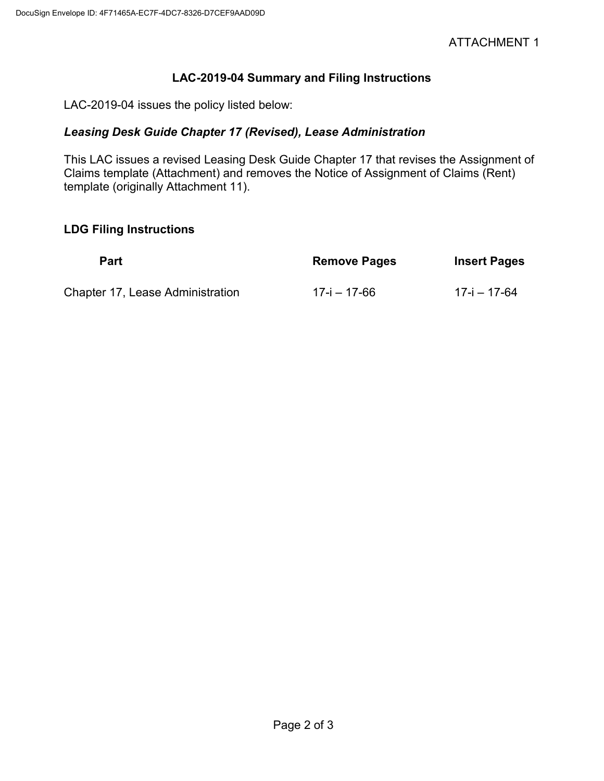## **LAC-2019-04 Summary and Filing Instructions**

LAC-2019-04 issues the policy listed below:

# *Leasing Desk Guide Chapter 17 (Revised), Lease Administration*

This LAC issues a revised Leasing Desk Guide Chapter 17 that revises the Assignment of Claims template (Attachment) and removes the Notice of Assignment of Claims (Rent) template (originally Attachment 11).

#### **LDG Filing Instructions**

| <b>Part</b>                      | <b>Remove Pages</b> | <b>Insert Pages</b> |
|----------------------------------|---------------------|---------------------|
| Chapter 17, Lease Administration | 17-i – 17-66        | 17-i – 17-64        |